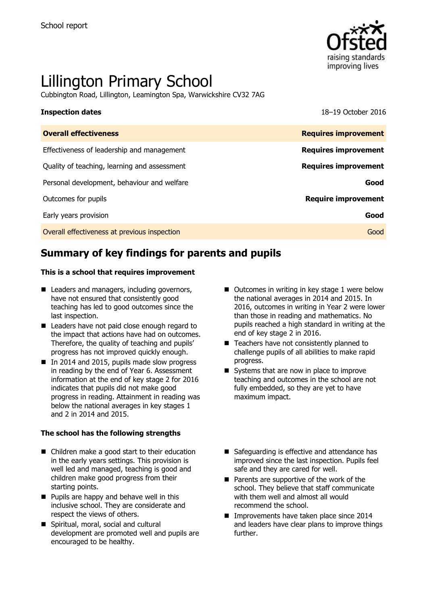

# Lillington Primary School

Cubbington Road, Lillington, Leamington Spa, Warwickshire CV32 7AG

**Inspection dates** 18–19 October 2016

| <b>Overall effectiveness</b>                 | <b>Requires improvement</b> |
|----------------------------------------------|-----------------------------|
| Effectiveness of leadership and management   | <b>Requires improvement</b> |
| Quality of teaching, learning and assessment | <b>Requires improvement</b> |
| Personal development, behaviour and welfare  | Good                        |
| Outcomes for pupils                          | <b>Require improvement</b>  |
| Early years provision                        | Good                        |
| Overall effectiveness at previous inspection | Good                        |
|                                              |                             |

# **Summary of key findings for parents and pupils**

#### **This is a school that requires improvement**

- Leaders and managers, including governors, have not ensured that consistently good teaching has led to good outcomes since the last inspection.
- Leaders have not paid close enough regard to the impact that actions have had on outcomes. Therefore, the quality of teaching and pupils' progress has not improved quickly enough.
- In 2014 and 2015, pupils made slow progress in reading by the end of Year 6. Assessment information at the end of key stage 2 for 2016 indicates that pupils did not make good progress in reading. Attainment in reading was below the national averages in key stages 1 and 2 in 2014 and 2015.

#### **The school has the following strengths**

- Children make a good start to their education in the early years settings. This provision is well led and managed, teaching is good and children make good progress from their starting points.
- **Pupils are happy and behave well in this** inclusive school. They are considerate and respect the views of others.
- Spiritual, moral, social and cultural development are promoted well and pupils are encouraged to be healthy.
- $\blacksquare$  Outcomes in writing in key stage 1 were below the national averages in 2014 and 2015. In 2016, outcomes in writing in Year 2 were lower than those in reading and mathematics. No pupils reached a high standard in writing at the end of key stage 2 in 2016.
- Teachers have not consistently planned to challenge pupils of all abilities to make rapid progress.
- Systems that are now in place to improve teaching and outcomes in the school are not fully embedded, so they are yet to have maximum impact.
- Safeguarding is effective and attendance has improved since the last inspection. Pupils feel safe and they are cared for well.
- Parents are supportive of the work of the school. They believe that staff communicate with them well and almost all would recommend the school.
- **Improvements have taken place since 2014** and leaders have clear plans to improve things further.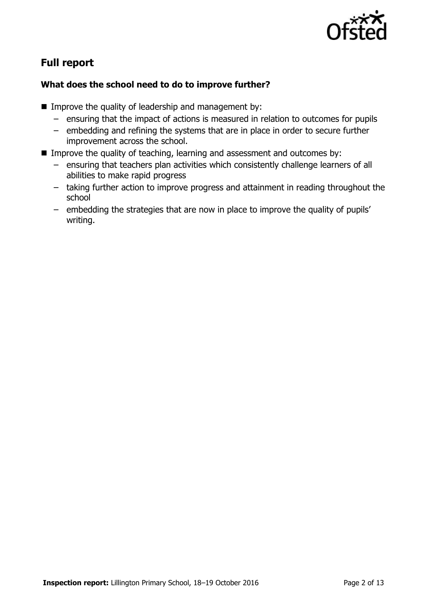

# **Full report**

### **What does the school need to do to improve further?**

- Improve the quality of leadership and management by:
	- ensuring that the impact of actions is measured in relation to outcomes for pupils
	- embedding and refining the systems that are in place in order to secure further improvement across the school.
- Improve the quality of teaching, learning and assessment and outcomes by:
	- ensuring that teachers plan activities which consistently challenge learners of all abilities to make rapid progress
	- taking further action to improve progress and attainment in reading throughout the school
	- embedding the strategies that are now in place to improve the quality of pupils' writing.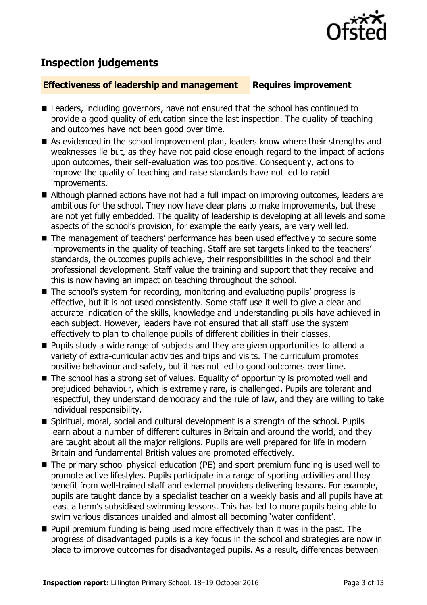

# **Inspection judgements**

#### **Effectiveness of leadership and management Requires improvement**

- Leaders, including governors, have not ensured that the school has continued to provide a good quality of education since the last inspection. The quality of teaching and outcomes have not been good over time.
- As evidenced in the school improvement plan, leaders know where their strengths and weaknesses lie but, as they have not paid close enough regard to the impact of actions upon outcomes, their self-evaluation was too positive. Consequently, actions to improve the quality of teaching and raise standards have not led to rapid improvements.
- Although planned actions have not had a full impact on improving outcomes, leaders are ambitious for the school. They now have clear plans to make improvements, but these are not yet fully embedded. The quality of leadership is developing at all levels and some aspects of the school's provision, for example the early years, are very well led.
- The management of teachers' performance has been used effectively to secure some improvements in the quality of teaching. Staff are set targets linked to the teachers' standards, the outcomes pupils achieve, their responsibilities in the school and their professional development. Staff value the training and support that they receive and this is now having an impact on teaching throughout the school.
- The school's system for recording, monitoring and evaluating pupils' progress is effective, but it is not used consistently. Some staff use it well to give a clear and accurate indication of the skills, knowledge and understanding pupils have achieved in each subject. However, leaders have not ensured that all staff use the system effectively to plan to challenge pupils of different abilities in their classes.
- **Pupils study a wide range of subjects and they are given opportunities to attend a** variety of extra-curricular activities and trips and visits. The curriculum promotes positive behaviour and safety, but it has not led to good outcomes over time.
- The school has a strong set of values. Equality of opportunity is promoted well and prejudiced behaviour, which is extremely rare, is challenged. Pupils are tolerant and respectful, they understand democracy and the rule of law, and they are willing to take individual responsibility.
- Spiritual, moral, social and cultural development is a strength of the school. Pupils learn about a number of different cultures in Britain and around the world, and they are taught about all the major religions. Pupils are well prepared for life in modern Britain and fundamental British values are promoted effectively.
- The primary school physical education (PE) and sport premium funding is used well to promote active lifestyles. Pupils participate in a range of sporting activities and they benefit from well-trained staff and external providers delivering lessons. For example, pupils are taught dance by a specialist teacher on a weekly basis and all pupils have at least a term's subsidised swimming lessons. This has led to more pupils being able to swim various distances unaided and almost all becoming 'water confident'.
- $\blacksquare$  Pupil premium funding is being used more effectively than it was in the past. The progress of disadvantaged pupils is a key focus in the school and strategies are now in place to improve outcomes for disadvantaged pupils. As a result, differences between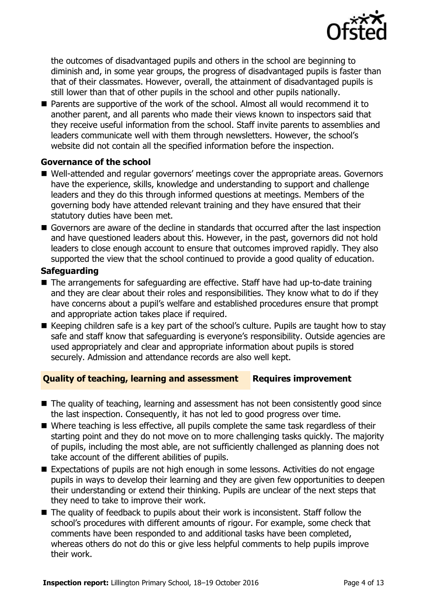

the outcomes of disadvantaged pupils and others in the school are beginning to diminish and, in some year groups, the progress of disadvantaged pupils is faster than that of their classmates. However, overall, the attainment of disadvantaged pupils is still lower than that of other pupils in the school and other pupils nationally.

■ Parents are supportive of the work of the school. Almost all would recommend it to another parent, and all parents who made their views known to inspectors said that they receive useful information from the school. Staff invite parents to assemblies and leaders communicate well with them through newsletters. However, the school's website did not contain all the specified information before the inspection.

#### **Governance of the school**

- Well-attended and regular governors' meetings cover the appropriate areas. Governors have the experience, skills, knowledge and understanding to support and challenge leaders and they do this through informed questions at meetings. Members of the governing body have attended relevant training and they have ensured that their statutory duties have been met.
- Governors are aware of the decline in standards that occurred after the last inspection and have questioned leaders about this. However, in the past, governors did not hold leaders to close enough account to ensure that outcomes improved rapidly. They also supported the view that the school continued to provide a good quality of education.

#### **Safeguarding**

- The arrangements for safeguarding are effective. Staff have had up-to-date training and they are clear about their roles and responsibilities. They know what to do if they have concerns about a pupil's welfare and established procedures ensure that prompt and appropriate action takes place if required.
- Keeping children safe is a key part of the school's culture. Pupils are taught how to stay safe and staff know that safeguarding is everyone's responsibility. Outside agencies are used appropriately and clear and appropriate information about pupils is stored securely. Admission and attendance records are also well kept.

### **Quality of teaching, learning and assessment Requires improvement**

- The quality of teaching, learning and assessment has not been consistently good since the last inspection. Consequently, it has not led to good progress over time.
- Where teaching is less effective, all pupils complete the same task regardless of their starting point and they do not move on to more challenging tasks quickly. The majority of pupils, including the most able, are not sufficiently challenged as planning does not take account of the different abilities of pupils.
- Expectations of pupils are not high enough in some lessons. Activities do not engage pupils in ways to develop their learning and they are given few opportunities to deepen their understanding or extend their thinking. Pupils are unclear of the next steps that they need to take to improve their work.
- The quality of feedback to pupils about their work is inconsistent. Staff follow the school's procedures with different amounts of rigour. For example, some check that comments have been responded to and additional tasks have been completed, whereas others do not do this or give less helpful comments to help pupils improve their work.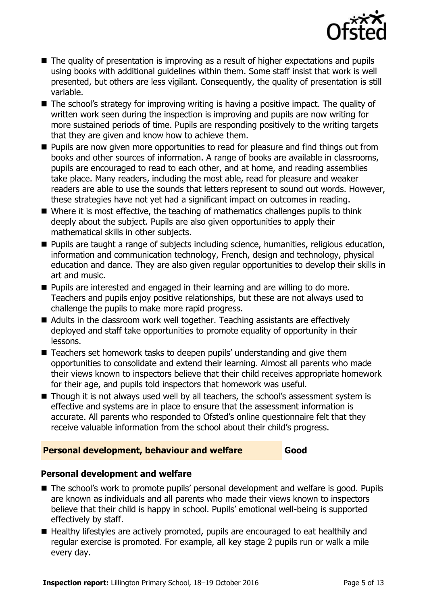

- The quality of presentation is improving as a result of higher expectations and pupils using books with additional guidelines within them. Some staff insist that work is well presented, but others are less vigilant. Consequently, the quality of presentation is still variable.
- The school's strategy for improving writing is having a positive impact. The quality of written work seen during the inspection is improving and pupils are now writing for more sustained periods of time. Pupils are responding positively to the writing targets that they are given and know how to achieve them.
- **Pupils are now given more opportunities to read for pleasure and find things out from** books and other sources of information. A range of books are available in classrooms, pupils are encouraged to read to each other, and at home, and reading assemblies take place. Many readers, including the most able, read for pleasure and weaker readers are able to use the sounds that letters represent to sound out words. However, these strategies have not yet had a significant impact on outcomes in reading.
- Where it is most effective, the teaching of mathematics challenges pupils to think deeply about the subject. Pupils are also given opportunities to apply their mathematical skills in other subjects.
- **Pupils are taught a range of subjects including science, humanities, religious education,** information and communication technology, French, design and technology, physical education and dance. They are also given regular opportunities to develop their skills in art and music.
- **Pupils are interested and engaged in their learning and are willing to do more.** Teachers and pupils enjoy positive relationships, but these are not always used to challenge the pupils to make more rapid progress.
- Adults in the classroom work well together. Teaching assistants are effectively deployed and staff take opportunities to promote equality of opportunity in their lessons.
- Teachers set homework tasks to deepen pupils' understanding and give them opportunities to consolidate and extend their learning. Almost all parents who made their views known to inspectors believe that their child receives appropriate homework for their age, and pupils told inspectors that homework was useful.
- Though it is not always used well by all teachers, the school's assessment system is effective and systems are in place to ensure that the assessment information is accurate. All parents who responded to Ofsted's online questionnaire felt that they receive valuable information from the school about their child's progress.

### **Personal development, behaviour and welfare Good**

### **Personal development and welfare**

- The school's work to promote pupils' personal development and welfare is good. Pupils are known as individuals and all parents who made their views known to inspectors believe that their child is happy in school. Pupils' emotional well-being is supported effectively by staff.
- Healthy lifestyles are actively promoted, pupils are encouraged to eat healthily and regular exercise is promoted. For example, all key stage 2 pupils run or walk a mile every day.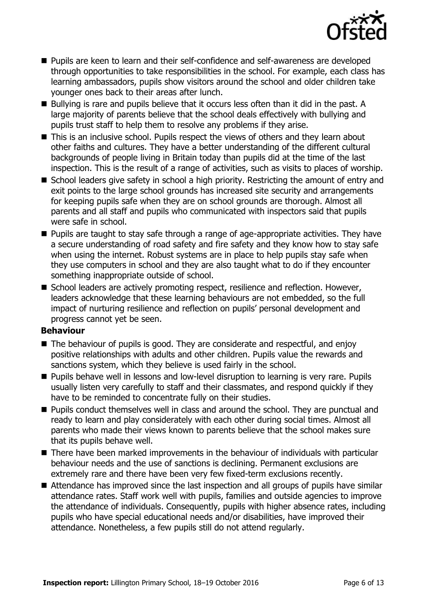

- Pupils are keen to learn and their self-confidence and self-awareness are developed through opportunities to take responsibilities in the school. For example, each class has learning ambassadors, pupils show visitors around the school and older children take younger ones back to their areas after lunch.
- Bullying is rare and pupils believe that it occurs less often than it did in the past. A large majority of parents believe that the school deals effectively with bullying and pupils trust staff to help them to resolve any problems if they arise.
- This is an inclusive school. Pupils respect the views of others and they learn about other faiths and cultures. They have a better understanding of the different cultural backgrounds of people living in Britain today than pupils did at the time of the last inspection. This is the result of a range of activities, such as visits to places of worship.
- School leaders give safety in school a high priority. Restricting the amount of entry and exit points to the large school grounds has increased site security and arrangements for keeping pupils safe when they are on school grounds are thorough. Almost all parents and all staff and pupils who communicated with inspectors said that pupils were safe in school.
- **Pupils are taught to stay safe through a range of age-appropriate activities. They have** a secure understanding of road safety and fire safety and they know how to stay safe when using the internet. Robust systems are in place to help pupils stay safe when they use computers in school and they are also taught what to do if they encounter something inappropriate outside of school.
- School leaders are actively promoting respect, resilience and reflection. However, leaders acknowledge that these learning behaviours are not embedded, so the full impact of nurturing resilience and reflection on pupils' personal development and progress cannot yet be seen.

### **Behaviour**

- The behaviour of pupils is good. They are considerate and respectful, and enjoy positive relationships with adults and other children. Pupils value the rewards and sanctions system, which they believe is used fairly in the school.
- **Pupils behave well in lessons and low-level disruption to learning is very rare. Pupils** usually listen very carefully to staff and their classmates, and respond quickly if they have to be reminded to concentrate fully on their studies.
- Pupils conduct themselves well in class and around the school. They are punctual and ready to learn and play considerately with each other during social times. Almost all parents who made their views known to parents believe that the school makes sure that its pupils behave well.
- There have been marked improvements in the behaviour of individuals with particular behaviour needs and the use of sanctions is declining. Permanent exclusions are extremely rare and there have been very few fixed-term exclusions recently.
- Attendance has improved since the last inspection and all groups of pupils have similar attendance rates. Staff work well with pupils, families and outside agencies to improve the attendance of individuals. Consequently, pupils with higher absence rates, including pupils who have special educational needs and/or disabilities, have improved their attendance. Nonetheless, a few pupils still do not attend regularly.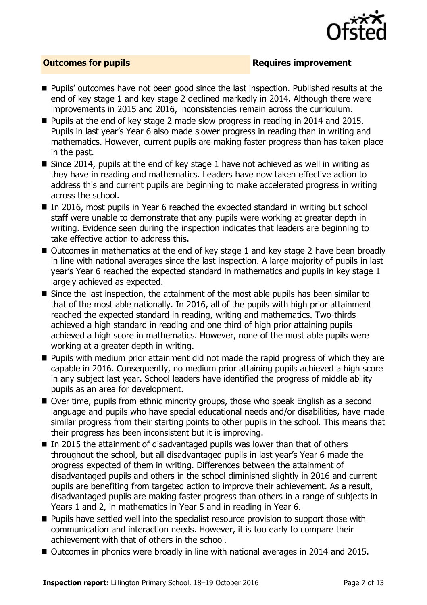

#### **Outcomes for pupils Requires improvement**

- **Pupils'** outcomes have not been good since the last inspection. Published results at the end of key stage 1 and key stage 2 declined markedly in 2014. Although there were improvements in 2015 and 2016, inconsistencies remain across the curriculum.
- Pupils at the end of key stage 2 made slow progress in reading in 2014 and 2015. Pupils in last year's Year 6 also made slower progress in reading than in writing and mathematics. However, current pupils are making faster progress than has taken place in the past.
- Since 2014, pupils at the end of key stage 1 have not achieved as well in writing as they have in reading and mathematics. Leaders have now taken effective action to address this and current pupils are beginning to make accelerated progress in writing across the school.
- In 2016, most pupils in Year 6 reached the expected standard in writing but school staff were unable to demonstrate that any pupils were working at greater depth in writing. Evidence seen during the inspection indicates that leaders are beginning to take effective action to address this.
- Outcomes in mathematics at the end of key stage 1 and key stage 2 have been broadly in line with national averages since the last inspection. A large majority of pupils in last year's Year 6 reached the expected standard in mathematics and pupils in key stage 1 largely achieved as expected.
- Since the last inspection, the attainment of the most able pupils has been similar to that of the most able nationally. In 2016, all of the pupils with high prior attainment reached the expected standard in reading, writing and mathematics. Two-thirds achieved a high standard in reading and one third of high prior attaining pupils achieved a high score in mathematics. However, none of the most able pupils were working at a greater depth in writing.
- **Pupils with medium prior attainment did not made the rapid progress of which they are** capable in 2016. Consequently, no medium prior attaining pupils achieved a high score in any subject last year. School leaders have identified the progress of middle ability pupils as an area for development.
- Over time, pupils from ethnic minority groups, those who speak English as a second language and pupils who have special educational needs and/or disabilities, have made similar progress from their starting points to other pupils in the school. This means that their progress has been inconsistent but it is improving.
- $\blacksquare$  In 2015 the attainment of disadvantaged pupils was lower than that of others throughout the school, but all disadvantaged pupils in last year's Year 6 made the progress expected of them in writing. Differences between the attainment of disadvantaged pupils and others in the school diminished slightly in 2016 and current pupils are benefiting from targeted action to improve their achievement. As a result, disadvantaged pupils are making faster progress than others in a range of subjects in Years 1 and 2, in mathematics in Year 5 and in reading in Year 6.
- **Pupils have settled well into the specialist resource provision to support those with** communication and interaction needs. However, it is too early to compare their achievement with that of others in the school.
- Outcomes in phonics were broadly in line with national averages in 2014 and 2015.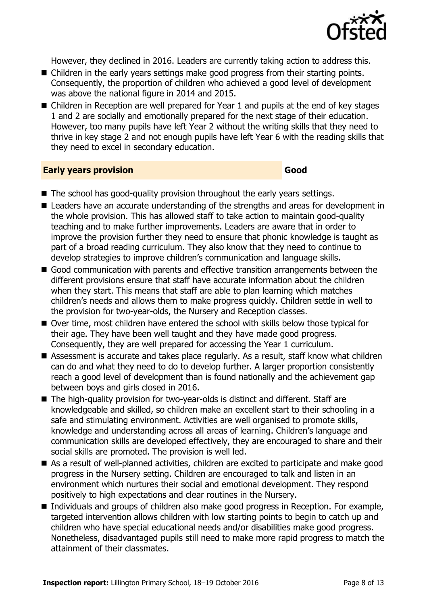

However, they declined in 2016. Leaders are currently taking action to address this.

- Children in the early years settings make good progress from their starting points. Consequently, the proportion of children who achieved a good level of development was above the national figure in 2014 and 2015.
- Children in Reception are well prepared for Year 1 and pupils at the end of key stages 1 and 2 are socially and emotionally prepared for the next stage of their education. However, too many pupils have left Year 2 without the writing skills that they need to thrive in key stage 2 and not enough pupils have left Year 6 with the reading skills that they need to excel in secondary education.

#### **Early years provision Good**

- The school has good-quality provision throughout the early years settings.
- Leaders have an accurate understanding of the strengths and areas for development in the whole provision. This has allowed staff to take action to maintain good-quality teaching and to make further improvements. Leaders are aware that in order to improve the provision further they need to ensure that phonic knowledge is taught as part of a broad reading curriculum. They also know that they need to continue to develop strategies to improve children's communication and language skills.
- Good communication with parents and effective transition arrangements between the different provisions ensure that staff have accurate information about the children when they start. This means that staff are able to plan learning which matches children's needs and allows them to make progress quickly. Children settle in well to the provision for two-year-olds, the Nursery and Reception classes.
- Over time, most children have entered the school with skills below those typical for their age. They have been well taught and they have made good progress. Consequently, they are well prepared for accessing the Year 1 curriculum.
- Assessment is accurate and takes place regularly. As a result, staff know what children can do and what they need to do to develop further. A larger proportion consistently reach a good level of development than is found nationally and the achievement gap between boys and girls closed in 2016.
- The high-quality provision for two-year-olds is distinct and different. Staff are knowledgeable and skilled, so children make an excellent start to their schooling in a safe and stimulating environment. Activities are well organised to promote skills, knowledge and understanding across all areas of learning. Children's language and communication skills are developed effectively, they are encouraged to share and their social skills are promoted. The provision is well led.
- As a result of well-planned activities, children are excited to participate and make good progress in the Nursery setting. Children are encouraged to talk and listen in an environment which nurtures their social and emotional development. They respond positively to high expectations and clear routines in the Nursery.
- Individuals and groups of children also make good progress in Reception. For example, targeted intervention allows children with low starting points to begin to catch up and children who have special educational needs and/or disabilities make good progress. Nonetheless, disadvantaged pupils still need to make more rapid progress to match the attainment of their classmates.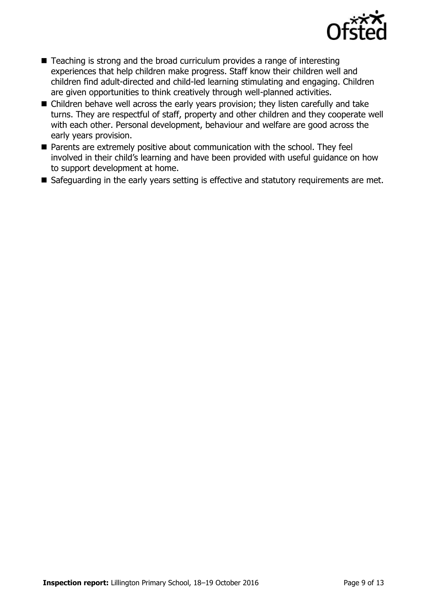

- Teaching is strong and the broad curriculum provides a range of interesting experiences that help children make progress. Staff know their children well and children find adult-directed and child-led learning stimulating and engaging. Children are given opportunities to think creatively through well-planned activities.
- Children behave well across the early years provision; they listen carefully and take turns. They are respectful of staff, property and other children and they cooperate well with each other. Personal development, behaviour and welfare are good across the early years provision.
- **Parents are extremely positive about communication with the school. They feel** involved in their child's learning and have been provided with useful guidance on how to support development at home.
- Safeguarding in the early years setting is effective and statutory requirements are met.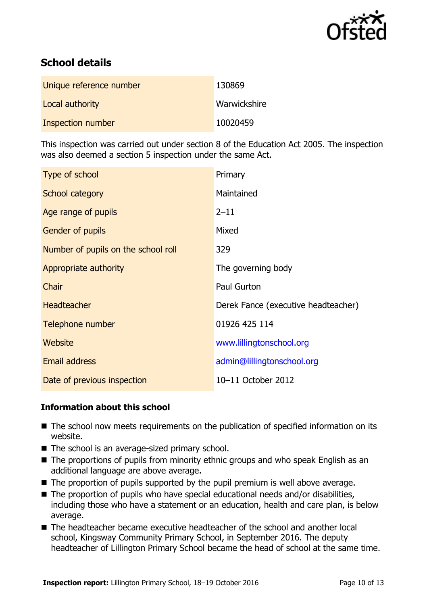

# **School details**

| Unique reference number | 130869       |
|-------------------------|--------------|
| Local authority         | Warwickshire |
| Inspection number       | 10020459     |

This inspection was carried out under section 8 of the Education Act 2005. The inspection was also deemed a section 5 inspection under the same Act.

| Type of school                      | Primary                             |
|-------------------------------------|-------------------------------------|
| School category                     | Maintained                          |
| Age range of pupils                 | $2 - 11$                            |
| <b>Gender of pupils</b>             | Mixed                               |
| Number of pupils on the school roll | 329                                 |
| Appropriate authority               | The governing body                  |
| Chair                               | Paul Gurton                         |
| <b>Headteacher</b>                  | Derek Fance (executive headteacher) |
| Telephone number                    | 01926 425 114                       |
| <b>Website</b>                      | www.lillingtonschool.org            |
| Email address                       | admin@lillingtonschool.org          |
| Date of previous inspection         | 10-11 October 2012                  |

### **Information about this school**

- The school now meets requirements on the publication of specified information on its website.
- The school is an average-sized primary school.
- The proportions of pupils from minority ethnic groups and who speak English as an additional language are above average.
- The proportion of pupils supported by the pupil premium is well above average.
- The proportion of pupils who have special educational needs and/or disabilities, including those who have a statement or an education, health and care plan, is below average.
- The headteacher became executive headteacher of the school and another local school, Kingsway Community Primary School, in September 2016. The deputy headteacher of Lillington Primary School became the head of school at the same time.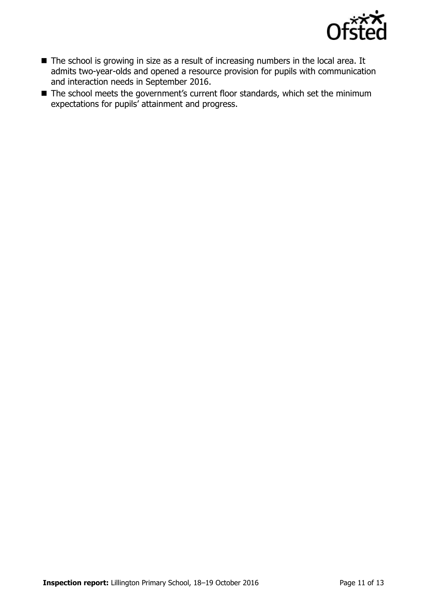

- The school is growing in size as a result of increasing numbers in the local area. It admits two-year-olds and opened a resource provision for pupils with communication and interaction needs in September 2016.
- The school meets the government's current floor standards, which set the minimum expectations for pupils' attainment and progress.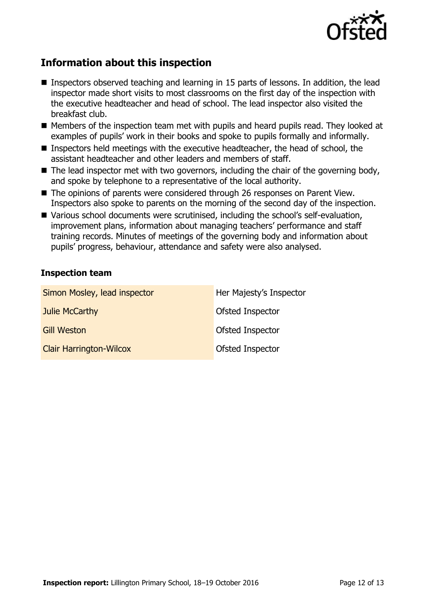

## **Information about this inspection**

- Inspectors observed teaching and learning in 15 parts of lessons. In addition, the lead inspector made short visits to most classrooms on the first day of the inspection with the executive headteacher and head of school. The lead inspector also visited the breakfast club.
- Members of the inspection team met with pupils and heard pupils read. They looked at examples of pupils' work in their books and spoke to pupils formally and informally.
- Inspectors held meetings with the executive headteacher, the head of school, the assistant headteacher and other leaders and members of staff.
- $\blacksquare$  The lead inspector met with two governors, including the chair of the governing body, and spoke by telephone to a representative of the local authority.
- The opinions of parents were considered through 26 responses on Parent View. Inspectors also spoke to parents on the morning of the second day of the inspection.
- Various school documents were scrutinised, including the school's self-evaluation, improvement plans, information about managing teachers' performance and staff training records. Minutes of meetings of the governing body and information about pupils' progress, behaviour, attendance and safety were also analysed.

#### **Inspection team**

| Simon Mosley, lead inspector   | Her Majesty's Inspector |
|--------------------------------|-------------------------|
| Julie McCarthy                 | Ofsted Inspector        |
| <b>Gill Weston</b>             | Ofsted Inspector        |
| <b>Clair Harrington-Wilcox</b> | Ofsted Inspector        |